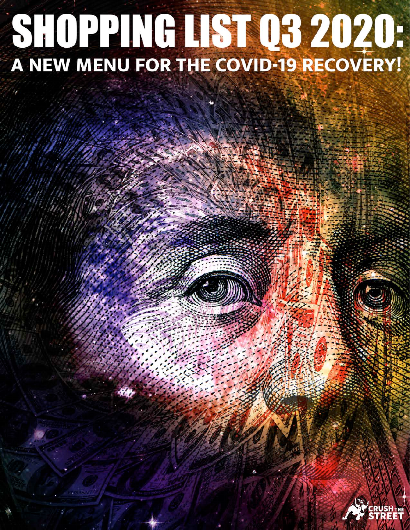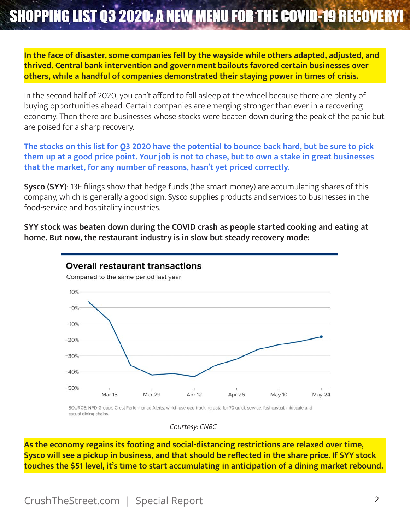### **In the face of disaster, some companies fell by the wayside while others adapted, adjusted, and thrived. Central bank intervention and government bailouts favored certain businesses over others, while a handful of companies demonstrated their staying power in times of crisis.**

In the second half of 2020, you can't afford to fall asleep at the wheel because there are plenty of buying opportunities ahead. Certain companies are emerging stronger than ever in a recovering economy. Then there are businesses whose stocks were beaten down during the peak of the panic but are poised for a sharp recovery.

**The stocks on this list for Q3 2020 have the potential to bounce back hard, but be sure to pick them up at a good price point. Your job is not to chase, but to own a stake in great businesses that the market, for any number of reasons, hasn't yet priced correctly.**

**Sysco (SYY)**: 13F filings show that hedge funds (the smart money) are accumulating shares of this company, which is generally a good sign. Sysco supplies products and services to businesses in the food-service and hospitality industries.

**SYY stock was beaten down during the COVID crash as people started cooking and eating at home. But now, the restaurant industry is in slow but steady recovery mode:**



casual dining chains.

Courtesy: CNBC

**As the economy regains its footing and social-distancing restrictions are relaxed over time, Sysco will see a pickup in business, and that should be reflected in the share price. If SYY stock touches the \$51 level, it's time to start accumulating in anticipation of a dining market rebound.**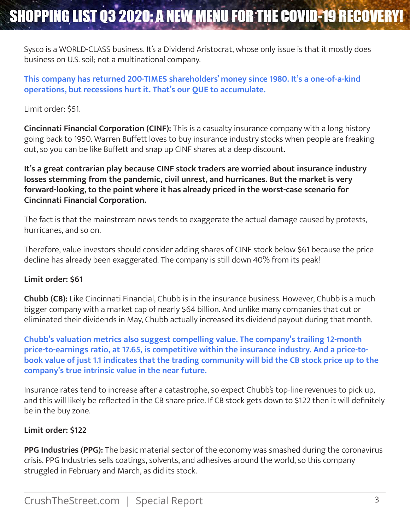Sysco is a WORLD-CLASS business. It's a Dividend Aristocrat, whose only issue is that it mostly does business on U.S. soil; not a multinational company.

**This company has returned 200-TIMES shareholders' money since 1980. It's a one-of-a-kind operations, but recessions hurt it. That's our QUE to accumulate.**

Limit order: \$51.

**Cincinnati Financial Corporation (CINF):** This is a casualty insurance company with a long history going back to 1950. Warren Buffett loves to buy insurance industry stocks when people are freaking out, so you can be like Buffett and snap up CINF shares at a deep discount.

**It's a great contrarian play because CINF stock traders are worried about insurance industry losses stemming from the pandemic, civil unrest, and hurricanes. But the market is very forward-looking, to the point where it has already priced in the worst-case scenario for Cincinnati Financial Corporation.**

The fact is that the mainstream news tends to exaggerate the actual damage caused by protests, hurricanes, and so on.

Therefore, value investors should consider adding shares of CINF stock below \$61 because the price decline has already been exaggerated. The company is still down 40% from its peak!

### **Limit order: \$61**

**Chubb (CB):** Like Cincinnati Financial, Chubb is in the insurance business. However, Chubb is a much bigger company with a market cap of nearly \$64 billion. And unlike many companies that cut or eliminated their dividends in May, Chubb actually increased its dividend payout during that month.

**Chubb's valuation metrics also suggest compelling value. The company's trailing 12-month price-to-earnings ratio, at 17.65, is competitive within the insurance industry. And a price-tobook value of just 1.1 indicates that the trading community will bid the CB stock price up to the company's true intrinsic value in the near future.**

Insurance rates tend to increase after a catastrophe, so expect Chubb's top-line revenues to pick up, and this will likely be reflected in the CB share price. If CB stock gets down to \$122 then it will definitely be in the buy zone.

### **Limit order: \$122**

**PPG Industries (PPG):** The basic material sector of the economy was smashed during the coronavirus crisis. PPG Industries sells coatings, solvents, and adhesives around the world, so this company struggled in February and March, as did its stock.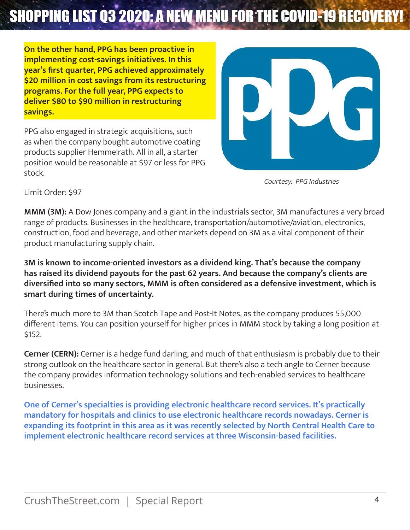**On the other hand, PPG has been proactive in implementing cost-savings initiatives. In this year's first quarter, PPG achieved approximately \$20 million in cost savings from its restructuring programs. For the full year, PPG expects to deliver \$80 to \$90 million in restructuring savings.**

PPG also engaged in strategic acquisitions, such as when the company bought automotive coating products supplier Hemmelrath. All in all, a starter position would be reasonable at \$97 or less for PPG stock.



Courtesy: PPG Industries

Limit Order: \$97

**MMM (3M):** A Dow Jones company and a giant in the industrials sector, 3M manufactures a very broad range of products. Businesses in the healthcare, transportation/automotive/aviation, electronics, construction, food and beverage, and other markets depend on 3M as a vital component of their product manufacturing supply chain.

**3M is known to income-oriented investors as a dividend king. That's because the company has raised its dividend payouts for the past 62 years. And because the company's clients are diversified into so many sectors, MMM is often considered as a defensive investment, which is smart during times of uncertainty.**

There's much more to 3M than Scotch Tape and Post-It Notes, as the company produces 55,000 different items. You can position yourself for higher prices in MMM stock by taking a long position at \$152.

**Cerner (CERN):** Cerner is a hedge fund darling, and much of that enthusiasm is probably due to their strong outlook on the healthcare sector in general. But there's also a tech angle to Cerner because the company provides information technology solutions and tech-enabled services to healthcare businesses.

**One of Cerner's specialties is providing electronic healthcare record services. It's practically mandatory for hospitals and clinics to use electronic healthcare records nowadays. Cerner is expanding its footprint in this area as it was recently selected by North Central Health Care to implement electronic healthcare record services at three Wisconsin-based facilities.**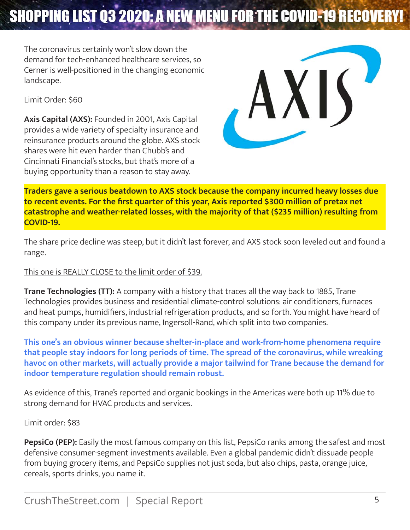The coronavirus certainly won't slow down the demand for tech-enhanced healthcare services, so Cerner is well-positioned in the changing economic landscape.

Limit Order: \$60

**Axis Capital (AXS):** Founded in 2001, Axis Capital provides a wide variety of specialty insurance and reinsurance products around the globe. AXS stock shares were hit even harder than Chubb's and Cincinnati Financial's stocks, but that's more of a buying opportunity than a reason to stay away.



**Traders gave a serious beatdown to AXS stock because the company incurred heavy losses due to recent events. For the first quarter of this year, Axis reported \$300 million of pretax net catastrophe and weather-related losses, with the majority of that (\$235 million) resulting from COVID-19.**

The share price decline was steep, but it didn't last forever, and AXS stock soon leveled out and found a range.

### This one is REALLY CLOSE to the limit order of \$39.

**Trane Technologies (TT):** A company with a history that traces all the way back to 1885, Trane Technologies provides business and residential climate-control solutions: air conditioners, furnaces and heat pumps, humidifiers, industrial refrigeration products, and so forth. You might have heard of this company under its previous name, Ingersoll-Rand, which split into two companies.

**This one's an obvious winner because shelter-in-place and work-from-home phenomena require that people stay indoors for long periods of time. The spread of the coronavirus, while wreaking havoc on other markets, will actually provide a major tailwind for Trane because the demand for indoor temperature regulation should remain robust.**

As evidence of this, Trane's reported and organic bookings in the Americas were both up 11% due to strong demand for HVAC products and services.

Limit order: \$83

**PepsiCo (PEP):** Easily the most famous company on this list, PepsiCo ranks among the safest and most defensive consumer-segment investments available. Even a global pandemic didn't dissuade people from buying grocery items, and PepsiCo supplies not just soda, but also chips, pasta, orange juice, cereals, sports drinks, you name it.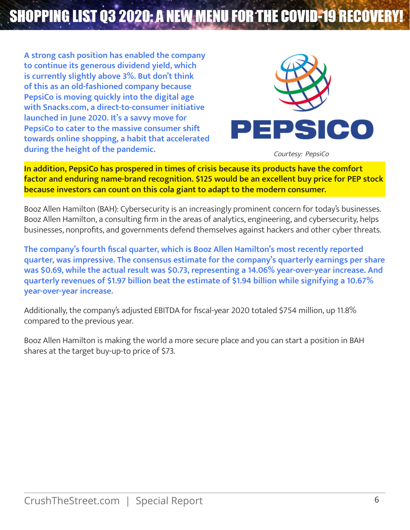**A strong cash position has enabled the company to continue its generous dividend yield, which is currently slightly above 3%. But don't think of this as an old-fashioned company because PepsiCo is moving quickly into the digital age with Snacks.com, a direct-to-consumer initiative launched in June 2020. It's a savvy move for PepsiCo to cater to the massive consumer shift towards online shopping, a habit that accelerated during the height of the pandemic.**



Courtesy: PepsiCo

**In addition, PepsiCo has prospered in times of crisis because its products have the comfort factor and enduring name-brand recognition. \$125 would be an excellent buy price for PEP stock because investors can count on this cola giant to adapt to the modern consumer.**

Booz Allen Hamilton (BAH): Cybersecurity is an increasingly prominent concern for today's businesses. Booz Allen Hamilton, a consulting firm in the areas of analytics, engineering, and cybersecurity, helps businesses, nonprofits, and governments defend themselves against hackers and other cyber threats.

**The company's fourth fiscal quarter, which is Booz Allen Hamilton's most recently reported quarter, was impressive. The consensus estimate for the company's quarterly earnings per share was \$0.69, while the actual result was \$0.73, representing a 14.06% year-over-year increase. And quarterly revenues of \$1.97 billion beat the estimate of \$1.94 billion while signifying a 10.67% year-over-year increase.**

Additionally, the company's adjusted EBITDA for fiscal-year 2020 totaled \$754 million, up 11.8% compared to the previous year.

Booz Allen Hamilton is making the world a more secure place and you can start a position in BAH shares at the target buy-up-to price of \$73.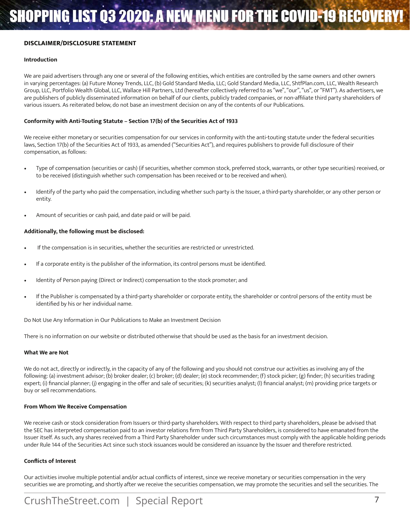#### **DISCLAIMER/DISCLOSURE STATEMENT**

#### **Introduction**

We are paid advertisers through any one or several of the following entities, which entities are controlled by the same owners and other owners in varying percentages: (a) Future Money Trends, LLC, (b) Gold Standard Media, LLC; Gold Standard Media, LLC, ShtfPlan.com, LLC, Wealth Research Group, LLC, Portfolio Wealth Global, LLC, Wallace Hill Partners, Ltd (hereafter collectively referred to as "we", "our", "us", or "FMT"). As advertisers, we are publishers of publicly disseminated information on behalf of our clients, publicly traded companies, or non-affiliate third party shareholders of various issuers. As reiterated below, do not base an investment decision on any of the contents of our Publications.

#### **Conformity with Anti-Touting Statute – Section 17(b) of the Securities Act of 1933**

We receive either monetary or securities compensation for our services in conformity with the anti-touting statute under the federal securities laws, Section 17(b) of the Securities Act of 1933, as amended ("Securities Act"), and requires publishers to provide full disclosure of their compensation, as follows:

- Type of compensation (securities or cash) (if securities, whether common stock, preferred stock, warrants, or other type securities) received, or to be received (distinguish whether such compensation has been received or to be received and when).
- Identify of the party who paid the compensation, including whether such party is the Issuer, a third-party shareholder, or any other person or entity.
- Amount of securities or cash paid, and date paid or will be paid.

#### **Additionally, the following must be disclosed:**

- If the compensation is in securities, whether the securities are restricted or unrestricted.
- If a corporate entity is the publisher of the information, its control persons must be identified.
- Identity of Person paying (Direct or Indirect) compensation to the stock promoter; and
- If the Publisher is compensated by a third-party shareholder or corporate entity, the shareholder or control persons of the entity must be identified by his or her individual name.

Do Not Use Any Information in Our Publications to Make an Investment Decision

There is no information on our website or distributed otherwise that should be used as the basis for an investment decision.

#### **What We are Not**

We do not act, directly or indirectly, in the capacity of any of the following and you should not construe our activities as involving any of the following: (a) investment advisor; (b) broker dealer; (c) broker; (d) dealer; (e) stock recommender; (f) stock picker; (g) finder; (h) securities trading expert; (i) financial planner; (j) engaging in the offer and sale of securities; (k) securities analyst; (l) financial analyst; (m) providing price targets or buy or sell recommendations.

#### **From Whom We Receive Compensation**

We receive cash or stock consideration from Issuers or third-party shareholders. With respect to third party shareholders, please be advised that the SEC has interpreted compensation paid to an investor relations firm from Third Party Shareholders, is considered to have emanated from the Issuer itself. As such, any shares received from a Third Party Shareholder under such circumstances must comply with the applicable holding periods under Rule 144 of the Securities Act since such stock issuances would be considered an issuance by the Issuer and therefore restricted.

#### **Conflicts of Interest**

Our activities involve multiple potential and/or actual conflicts of interest, since we receive monetary or securities compensation in the very securities we are promoting, and shortly after we receive the securities compensation, we may promote the securities and sell the securities. The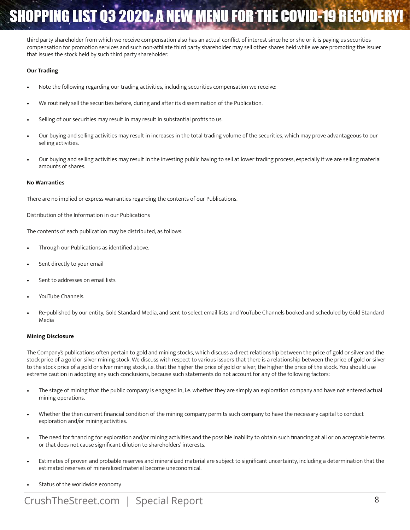third party shareholder from which we receive compensation also has an actual conflict of interest since he or she or it is paying us securities compensation for promotion services and such non-affiliate third party shareholder may sell other shares held while we are promoting the issuer that issues the stock held by such third party shareholder.

#### **Our Trading**

- Note the following regarding our trading activities, including securities compensation we receive:
- We routinely sell the securities before, during and after its dissemination of the Publication.
- Selling of our securities may result in may result in substantial profits to us.
- Our buying and selling activities may result in increases in the total trading volume of the securities, which may prove advantageous to our selling activities.
- Our buying and selling activities may result in the investing public having to sell at lower trading process, especially if we are selling material amounts of shares.

#### **No Warranties**

There are no implied or express warranties regarding the contents of our Publications.

Distribution of the Information in our Publications

The contents of each publication may be distributed, as follows:

- Through our Publications as identified above.
- Sent directly to your email
- Sent to addresses on email lists
- YouTube Channels.
- Re-published by our entity, Gold Standard Media, and sent to select email lists and YouTube Channels booked and scheduled by Gold Standard Media

#### **Mining Disclosure**

The Company's publications often pertain to gold and mining stocks, which discuss a direct relationship between the price of gold or silver and the stock price of a gold or silver mining stock. We discuss with respect to various issuers that there is a relationship between the price of gold or silver to the stock price of a gold or silver mining stock, i.e. that the higher the price of gold or silver, the higher the price of the stock. You should use extreme caution in adopting any such conclusions, because such statements do not account for any of the following factors:

- The stage of mining that the public company is engaged in, i.e. whether they are simply an exploration company and have not entered actual mining operations.
- Whether the then current financial condition of the mining company permits such company to have the necessary capital to conduct exploration and/or mining activities.
- The need for financing for exploration and/or mining activities and the possible inability to obtain such financing at all or on acceptable terms or that does not cause significant dilution to shareholders' interests.
- Estimates of proven and probable reserves and mineralized material are subject to significant uncertainty, including a determination that the estimated reserves of mineralized material become uneconomical.
- Status of the worldwide economy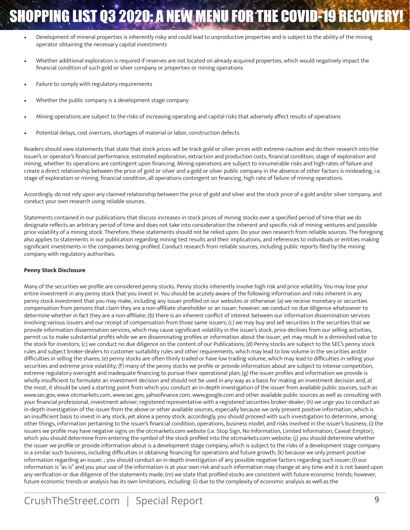- Development of mineral properties is inherently risky and could lead to unproductive properties and is subject to the ability of the mining operator obtaining the necessary capital investments
- Whether additional exploration is required if reserves are not located on already acquired properties, which would negatively impact the financial condition of such gold or silver company or properties or mining operations
- Failure to comply with regulatory requirements
- Whether the public company is a development stage company
- Mining operations are subject to the risks of increasing operating and capital risks that adversely affect results of operations
- Potential delays, cost overruns, shortages of material or labor, construction defects

Readers should view statements that state that stock prices will be track gold or silver prices with extreme caution and do their research into the Issuer's or operator's financial performance, estimated exploration, extraction and production costs, financial condition, stage of exploration and mining, whether its operations are contingent upon financing. Mining operations are subject to innumerable risks and high rates of failure and create a direct relationship between the price of gold or silver and a gold or silver public company in the absence of other factors is misleading, i.e. stage of exploration or mining, financial condition, all operations contingent on financing, high rate of failure of mining operations.

Accordingly, do not rely upon any claimed relationship between the price of gold and silver and the stock price of a gold and/or silver company, and conduct your own research using reliable sources.

Statements contained in our publications that discuss increases in stock prices of mining stocks over a specified period of time that we do designate reflects an arbitrary period of time and does not take into consideration the inherent and specific risk of mining ventures and possible price volatility of a mining stock. Therefore, these statements should not be relied upon. Do your own research from reliable sources. The foregoing also applies to statements in our publication regarding mining test results and their implications, and references to individuals or entities making significant investments in the companies being profiled. Conduct research from reliable sources, including public reports filed by the mining company with regulatory authorities.

#### **Penny Stock Disclosure**

Many of the securities we profile are considered penny stocks. Penny stocks inherently involve high risk and price volatility. You may lose your entire investment in any penny stock that you invest in. You should be acutely aware of the following information and risks inherent in any penny stock investment that you may make, including any issuer profiled on our websites or otherwise: (a) we receive monetary or securities compensation from persons that claim they are a non-affiliate shareholder or an issuer; however, we conduct no due diligence whatsoever to determine whether in fact they are a non-affiliate; (b) there is an inherent conflict of interest between our information dissemination services involving various issuers and our receipt of compensation from those same issuers; (c) we may buy and sell securities in the securities that we provide information dissemination services, which may cause significant volatility in the issuer's stock, price declines from our selling activities, permit us to make substantial profits while we are disseminating profiles or information about the issuer, yet may result in a diminished value to the stock for investors; (c) we conduct no due diligence on the content of our Publications; (d) Penny stocks are subject to the SEC's penny stock rules and subject broker-dealers to customer suitability rules and other requirements, which may lead to low volume in the securities and/or difficulties in selling the shares; (e) penny stocks are often thinly traded or have low trading volume, which may lead to difficulties in selling your securities and extreme price volatility; (f) many of the penny stocks we profile or provide information about are subject to intense competition, extreme regulatory oversight and inadequate financing to pursue their operational plan; (g) the issuer profiles and information we provide is wholly insufficient to formulate an investment decision and should not be used in any way as a basis for making an investment decision and, at the most, it should be used a starting point from which you conduct an in-depth investigation of the issuer from available public sources, such as www.sec.gov, www otcmarkets.com, www.sec.gov, yahoofinance.com, www.google.com and other available public sources as well as consulting with your financial professional, investment adviser, registered representative with a registered securities broker-dealer; (h) we urge you to conduct an in-depth investigation of the issuer from the above or other available sources, especially because we only present positive information, which is an insufficient basis to invest in any stock, yet alone a penny stock; accordingly, you should proceed with such investigation to determine, among other things, information pertaining to the issuer's financial condition, operations, business model, and risks involved in the issuer's business; (i) the issuers we profile may have negative signs on the otcmarkets.com website (i.e. Stop Sign, No Information, Limited Information, Caveat Emptor), which you should determine from entering the symbol of the stock profiled into the otcmarkets.com website; (j) you should determine whether the issuer we profile or provide information about is a development stage company, which is subject to the risks of a development stage company in a similar such business, including difficulties in obtaining financing for operations and future growth; (k) because we only present positive information regarding an issuer, ; you should conduct an in-depth investigation of any possible negative factors regarding such issuer; (l) our information is "as is" and you your use of the information is at your own risk and such information may change at any time and it is not based upon any verification or due diligence of the statements made; (m) we state that profiled stocks are consistent with future economic trends; however, future economic trends or analysis has its own limitations, including: (i) due to the complexity of economic analysis as well as the